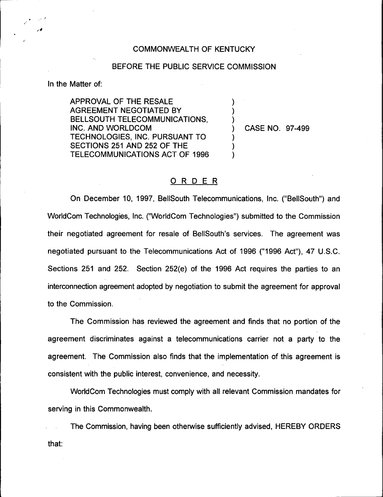## COMMONWEALTH OF KENTUCKY

## BEFORE THE PUBLIC SERVICE COMMISSION

 $\overline{\phantom{a}}$ )  $\boldsymbol{\mathcal{Y}}$ 

) ) )

In the Matter of:

APPROVAL OF THE RESALE AGREEMENT NEGOTIATED BY BELLSOUTH TELECOMMUNICATIONS, INC. AND WORLDCOM TECHNOLOGIES, INC. PURSUANT TO SECTIONS 251 AND 252 OF THE TELECOMMUNICATIONS ACT OF 1996

) CASE NO. 97-499

## ORDER

On December 10, 1997, BelISouth Telecommunications, Inc. ("BellSouth") and WorldCom Technologies, Inc. ("WorldCom Technologies") submitted to the Commissic their negotiated agreement for resale of BellSouth's services. The agreement was negotiated pursuant to the Telecommunications Act of 1996 ("1996 Act"), 47 U.S.C. Sections 251 and 252. Section 252(e) of the 1996 Act requires the parties to an interconnection agreement adopted by negotiation to submit the agreement for approval to the Commission.

The Commission has reviewed the agreement and finds that no portion of the agreement discriminates against a telecommunications carrier not a party to the agreement. The Commission also finds that the implementation of this agreement is consistent with the public interest, convenience, and necessity.

WorldCom Technologies must comply with all relevant Commission mandates for serving in this Commonwealth.

The Commission, having been otherwise sufficiently advised, HEREBY ORDERSthat: